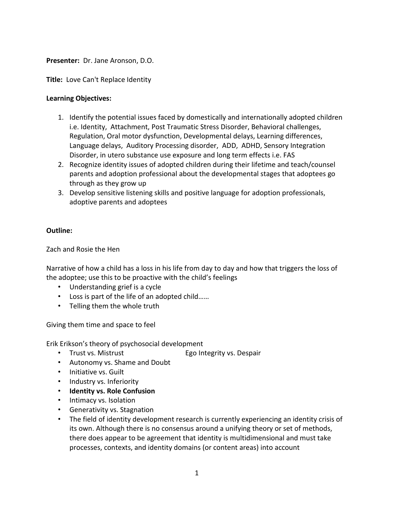## **Presenter:** Dr. Jane Aronson, D.O.

**Title:** Love Can't Replace Identity

## **Learning Objectives:**

- 1. Identify the potential issues faced by domestically and internationally adopted children i.e. Identity, Attachment, Post Traumatic Stress Disorder, Behavioral challenges, Regulation, Oral motor dysfunction, Developmental delays, Learning differences, Language delays, Auditory Processing disorder, ADD, ADHD, Sensory Integration Disorder, in utero substance use exposure and long term effects i.e. FAS
- 2. Recognize identity issues of adopted children during their lifetime and teach/counsel parents and adoption professional about the developmental stages that adoptees go through as they grow up
- 3. Develop sensitive listening skills and positive language for adoption professionals, adoptive parents and adoptees

## **Outline:**

Zach and Rosie the Hen

Narrative of how a child has a loss in his life from day to day and how that triggers the loss of the adoptee; use this to be proactive with the child's feelings

- Understanding grief is a cycle
- Loss is part of the life of an adopted child……
- Telling them the whole truth

Giving them time and space to feel

Erik Erikson's theory of psychosocial development

- Trust vs. Mistrust **Ego Integrity vs. Despair**
- Autonomy vs. Shame and Doubt
- Initiative vs. Guilt
- Industry vs. Inferiority
- **Identity vs. Role Confusion**
- Intimacy vs. Isolation
- Generativity vs. Stagnation
- The field of identity development research is currently experiencing an identity crisis of its own. Although there is no consensus around a unifying theory or set of methods, there does appear to be agreement that identity is multidimensional and must take processes, contexts, and identity domains (or content areas) into account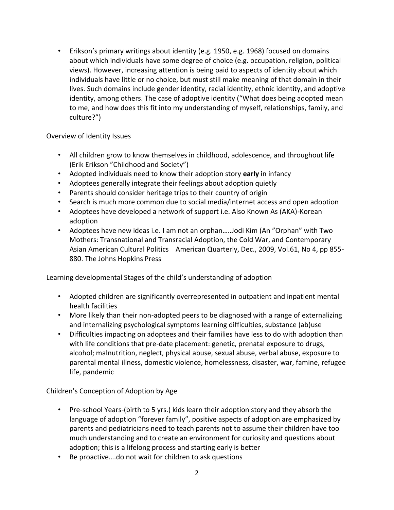• Erikson's primary writings about identity (e.g. 1950, e.g. 1968) focused on domains about which individuals have some degree of choice (e.g. occupation, religion, political views). However, increasing attention is being paid to aspects of identity about which individuals have little or no choice, but must still make meaning of that domain in their lives. Such domains include gender identity, racial identity, ethnic identity, and adoptive identity, among others. The case of adoptive identity ("What does being adopted mean to me, and how does this fit into my understanding of myself, relationships, family, and culture?")

Overview of Identity Issues

- All children grow to know themselves in childhood, adolescence, and throughout life (Erik Erikson "Childhood and Society")
- Adopted individuals need to know their adoption story **early** in infancy
- Adoptees generally integrate their feelings about adoption quietly
- Parents should consider heritage trips to their country of origin
- Search is much more common due to social media/internet access and open adoption
- Adoptees have developed a network of support i.e. Also Known As (AKA)-Korean adoption
- Adoptees have new ideas i.e. I am not an orphan…..Jodi Kim (An "Orphan" with Two Mothers: Transnational and Transracial Adoption, the Cold War, and Contemporary Asian American Cultural Politics American Quarterly, Dec., 2009, Vol.61, No 4, pp 855- 880. The Johns Hopkins Press

Learning developmental Stages of the child's understanding of adoption

- Adopted children are significantly overrepresented in outpatient and inpatient mental health facilities
- More likely than their non-adopted peers to be diagnosed with a range of externalizing and internalizing psychological symptoms learning difficulties, substance (ab)use
- Difficulties impacting on adoptees and their families have less to do with adoption than with life conditions that pre-date placement: genetic, prenatal exposure to drugs, alcohol; malnutrition, neglect, physical abuse, sexual abuse, verbal abuse, exposure to parental mental illness, domestic violence, homelessness, disaster, war, famine, refugee life, pandemic

Children's Conception of Adoption by Age

- Pre-school Years-(birth to 5 yrs.) kids learn their adoption story and they absorb the language of adoption "forever family", positive aspects of adoption are emphasized by parents and pediatricians need to teach parents not to assume their children have too much understanding and to create an environment for curiosity and questions about adoption; this is a lifelong process and starting early is better
- Be proactive….do not wait for children to ask questions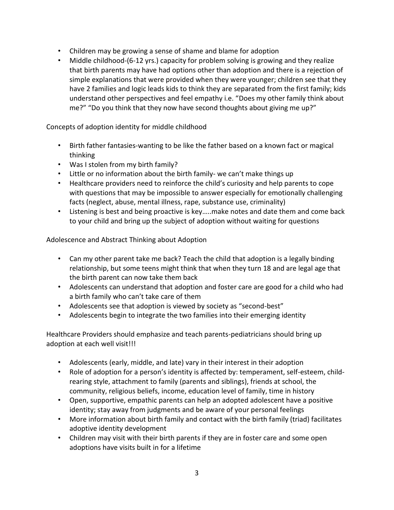- Children may be growing a sense of shame and blame for adoption
- Middle childhood-(6-12 yrs.) capacity for problem solving is growing and they realize that birth parents may have had options other than adoption and there is a rejection of simple explanations that were provided when they were younger; children see that they have 2 families and logic leads kids to think they are separated from the first family; kids understand other perspectives and feel empathy i.e. "Does my other family think about me?" "Do you think that they now have second thoughts about giving me up?"

Concepts of adoption identity for middle childhood

- Birth father fantasies-wanting to be like the father based on a known fact or magical thinking
- Was I stolen from my birth family?
- Little or no information about the birth family- we can't make things up
- Healthcare providers need to reinforce the child's curiosity and help parents to cope with questions that may be impossible to answer especially for emotionally challenging facts (neglect, abuse, mental illness, rape, substance use, criminality)
- Listening is best and being proactive is key…..make notes and date them and come back to your child and bring up the subject of adoption without waiting for questions

Adolescence and Abstract Thinking about Adoption

- Can my other parent take me back? Teach the child that adoption is a legally binding relationship, but some teens might think that when they turn 18 and are legal age that the birth parent can now take them back
- Adolescents can understand that adoption and foster care are good for a child who had a birth family who can't take care of them
- Adolescents see that adoption is viewed by society as "second-best"
- Adolescents begin to integrate the two families into their emerging identity

Healthcare Providers should emphasize and teach parents-pediatricians should bring up adoption at each well visit!!!

- Adolescents (early, middle, and late) vary in their interest in their adoption
- Role of adoption for a person's identity is affected by: temperament, self-esteem, childrearing style, attachment to family (parents and siblings), friends at school, the community, religious beliefs, income, education level of family, time in history
- Open, supportive, empathic parents can help an adopted adolescent have a positive identity; stay away from judgments and be aware of your personal feelings
- More information about birth family and contact with the birth family (triad) facilitates adoptive identity development
- Children may visit with their birth parents if they are in foster care and some open adoptions have visits built in for a lifetime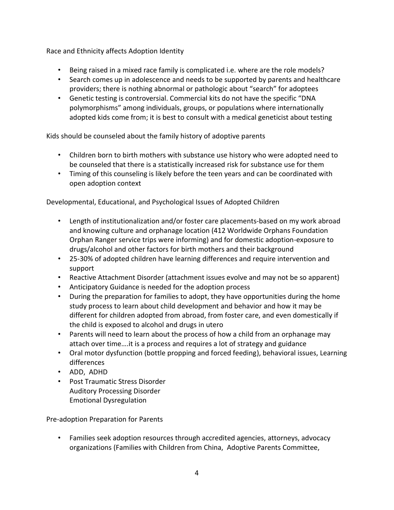Race and Ethnicity affects Adoption Identity

- Being raised in a mixed race family is complicated i.e. where are the role models?
- Search comes up in adolescence and needs to be supported by parents and healthcare providers; there is nothing abnormal or pathologic about "search" for adoptees
- Genetic testing is controversial. Commercial kits do not have the specific "DNA polymorphisms" among individuals, groups, or populations where internationally adopted kids come from; it is best to consult with a medical geneticist about testing

Kids should be counseled about the family history of adoptive parents

- Children born to birth mothers with substance use history who were adopted need to be counseled that there is a statistically increased risk for substance use for them
- Timing of this counseling is likely before the teen years and can be coordinated with open adoption context

Developmental, Educational, and Psychological Issues of Adopted Children

- Length of institutionalization and/or foster care placements-based on my work abroad and knowing culture and orphanage location (412 Worldwide Orphans Foundation Orphan Ranger service trips were informing) and for domestic adoption-exposure to drugs/alcohol and other factors for birth mothers and their background
- 25-30% of adopted children have learning differences and require intervention and support
- Reactive Attachment Disorder (attachment issues evolve and may not be so apparent)
- Anticipatory Guidance is needed for the adoption process
- During the preparation for families to adopt, they have opportunities during the home study process to learn about child development and behavior and how it may be different for children adopted from abroad, from foster care, and even domestically if the child is exposed to alcohol and drugs in utero
- Parents will need to learn about the process of how a child from an orphanage may attach over time….it is a process and requires a lot of strategy and guidance
- Oral motor dysfunction (bottle propping and forced feeding), behavioral issues, Learning differences
- ADD, ADHD
- Post Traumatic Stress Disorder Auditory Processing Disorder Emotional Dysregulation

Pre-adoption Preparation for Parents

• Families seek adoption resources through accredited agencies, attorneys, advocacy organizations (Families with Children from China, Adoptive Parents Committee,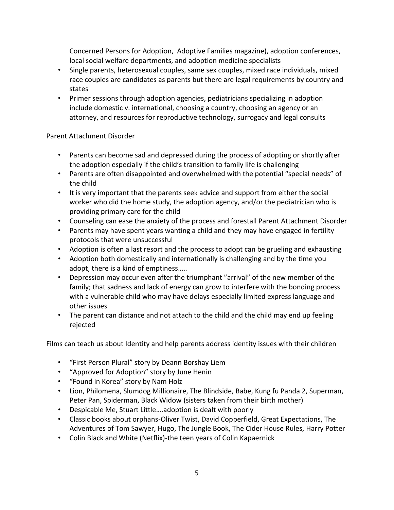Concerned Persons for Adoption, Adoptive Families magazine), adoption conferences, local social welfare departments, and adoption medicine specialists

- Single parents, heterosexual couples, same sex couples, mixed race individuals, mixed race couples are candidates as parents but there are legal requirements by country and states
- Primer sessions through adoption agencies, pediatricians specializing in adoption include domestic v. international, choosing a country, choosing an agency or an attorney, and resources for reproductive technology, surrogacy and legal consults

## Parent Attachment Disorder

- Parents can become sad and depressed during the process of adopting or shortly after the adoption especially if the child's transition to family life is challenging
- Parents are often disappointed and overwhelmed with the potential "special needs" of the child
- It is very important that the parents seek advice and support from either the social worker who did the home study, the adoption agency, and/or the pediatrician who is providing primary care for the child
- Counseling can ease the anxiety of the process and forestall Parent Attachment Disorder
- Parents may have spent years wanting a child and they may have engaged in fertility protocols that were unsuccessful
- Adoption is often a last resort and the process to adopt can be grueling and exhausting
- Adoption both domestically and internationally is challenging and by the time you adopt, there is a kind of emptiness…..
- Depression may occur even after the triumphant "arrival" of the new member of the family; that sadness and lack of energy can grow to interfere with the bonding process with a vulnerable child who may have delays especially limited express language and other issues
- The parent can distance and not attach to the child and the child may end up feeling rejected

Films can teach us about Identity and help parents address identity issues with their children

- "First Person Plural" story by Deann Borshay Liem
- "Approved for Adoption" story by June Henin
- "Found in Korea" story by Nam Holz
- Lion, Philomena, Slumdog Millionaire, The Blindside, Babe, Kung fu Panda 2, Superman, Peter Pan, Spiderman, Black Widow (sisters taken from their birth mother)
- Despicable Me, Stuart Little….adoption is dealt with poorly
- Classic books about orphans-Oliver Twist, David Copperfield, Great Expectations, The Adventures of Tom Sawyer, Hugo, The Jungle Book, The Cider House Rules, Harry Potter
- Colin Black and White (Netflix)-the teen years of Colin Kapaernick